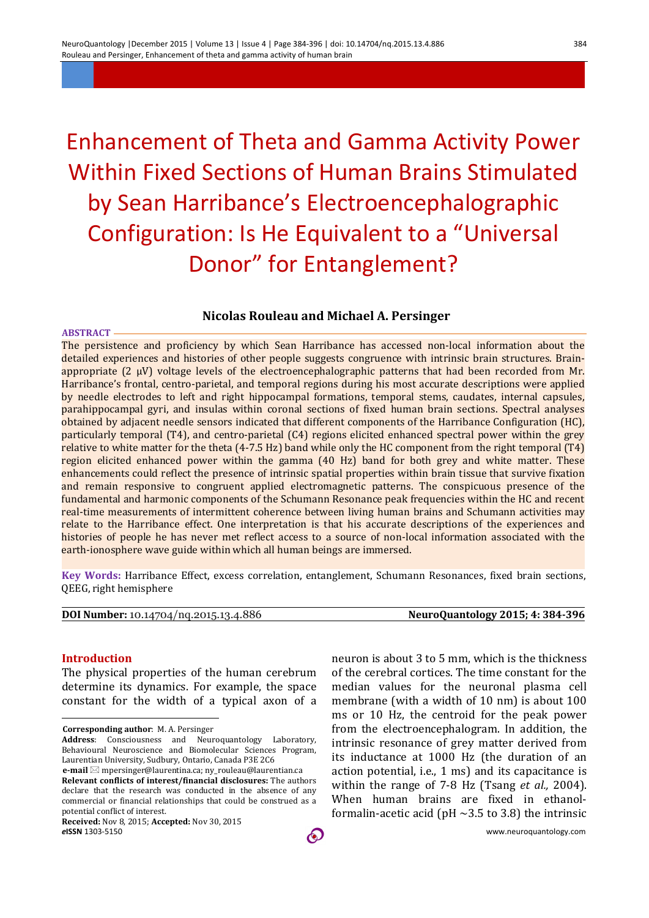# Enhancement of Theta and Gamma Activity Power Within Fixed Sections of Human Brains Stimulated by Sean Harribance's Electroencephalographic Configuration: Is He Equivalent to a "Universal

Donor" for Entanglement?

## **Nicolas Rouleau and Michael A. Persinger**

#### **ABSTRACT**

The persistence and proficiency by which Sean Harribance has accessed non-local information about the detailed experiences and histories of other people suggests congruence with intrinsic brain structures. Brainappropriate (2 μV) voltage levels of the electroencephalographic patterns that had been recorded from Mr. Harribance's frontal, centro-parietal, and temporal regions during his most accurate descriptions were applied by needle electrodes to left and right hippocampal formations, temporal stems, caudates, internal capsules, parahippocampal gyri, and insulas within coronal sections of fixed human brain sections. Spectral analyses obtained by adjacent needle sensors indicated that different components of the Harribance Configuration (HC), particularly temporal (T4), and centro-parietal (C4) regions elicited enhanced spectral power within the grey relative to white matter for the theta (4-7.5 Hz) band while only the HC component from the right temporal (T4) region elicited enhanced power within the gamma (40 Hz) band for both grey and white matter. These enhancements could reflect the presence of intrinsic spatial properties within brain tissue that survive fixation and remain responsive to congruent applied electromagnetic patterns. The conspicuous presence of the fundamental and harmonic components of the Schumann Resonance peak frequencies within the HC and recent real-time measurements of intermittent coherence between living human brains and Schumann activities may relate to the Harribance effect. One interpretation is that his accurate descriptions of the experiences and histories of people he has never met reflect access to a source of non-local information associated with the earth-ionosphere wave guide within which all human beings are immersed.

**Key Words:** Harribance Effect, excess correlation, entanglement, Schumann Resonances, fixed brain sections, QEEG, right hemisphere

#### **DOI Number:** 10.14704/nq.2015.13.4.886 **NeuroQuantology 2015; 4: 384-396**

#### **Introduction**

 $\overline{a}$ 

The physical properties of the human cerebrum determine its dynamics. For example, the space constant for the width of a typical axon of a

**Corresponding author**: M. A. Persinger

**Address**: Consciousness and Neuroquantology Laboratory, Behavioural Neuroscience and Biomolecular Sciences Program, Laurentian University, Sudbury, Ontario, Canada P3E 2C6

neuron is about 3 to 5 mm, which is the thickness of the cerebral cortices. The time constant for the median values for the neuronal plasma cell membrane (with a width of 10 nm) is about 100 ms or 10 Hz, the centroid for the peak power from the electroencephalogram. In addition, the intrinsic resonance of grey matter derived from its inductance at 1000 Hz (the duration of an action potential, i.e., 1 ms) and its capacitance is within the range of 7-8 Hz (Tsang *et al.,* 2004). When human brains are fixed in ethanolformalin-acetic acid (pH  $\sim$ 3.5 to 3.8) the intrinsic

**e-mail** mpersinger@laurentina.ca; ny\_rouleau@laurentian.ca **Relevant conflicts of interest/financial disclosures:** The authors declare that the research was conducted in the absence of any commercial or financial relationships that could be construed as a potential conflict of interest.

**Received:** Nov 8, 2015; **Accepted:** Nov 30, 2015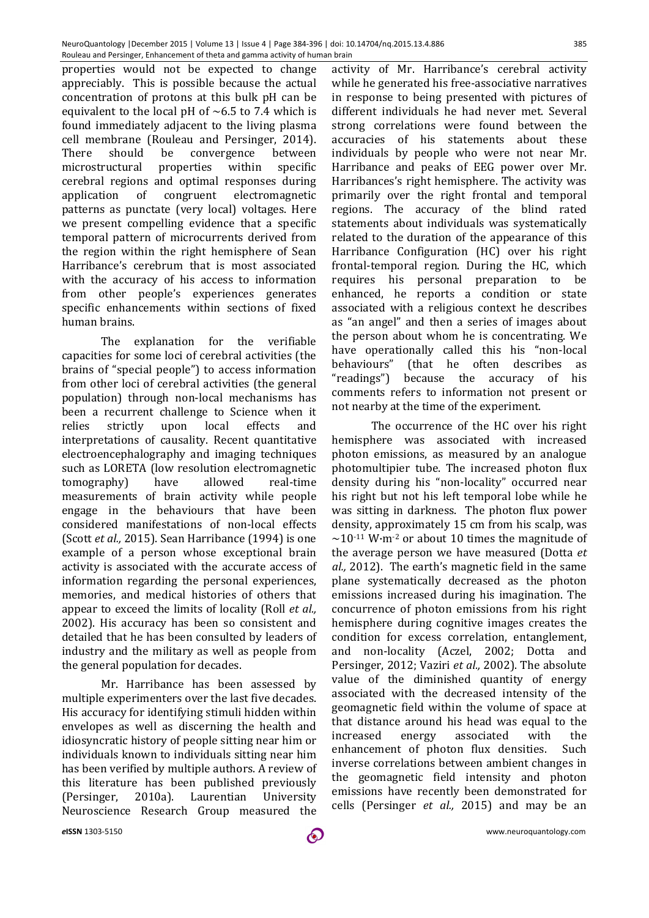properties would not be expected to change appreciably. This is possible because the actual concentration of protons at this bulk pH can be equivalent to the local pH of  $~6.5$  to 7.4 which is found immediately adjacent to the living plasma cell membrane (Rouleau and Persinger, 2014). There should be convergence between microstructural properties within specific cerebral regions and optimal responses during application of congruent electromagnetic patterns as punctate (very local) voltages. Here we present compelling evidence that a specific temporal pattern of microcurrents derived from the region within the right hemisphere of Sean Harribance's cerebrum that is most associated with the accuracy of his access to information from other people's experiences generates specific enhancements within sections of fixed human brains.

The explanation for the verifiable capacities for some loci of cerebral activities (the brains of "special people") to access information from other loci of cerebral activities (the general population) through non-local mechanisms has been a recurrent challenge to Science when it relies strictly upon local effects and interpretations of causality. Recent quantitative electroencephalography and imaging techniques such as LORETA (low resolution electromagnetic tomography) have allowed real-time measurements of brain activity while people engage in the behaviours that have been considered manifestations of non-local effects (Scott *et al.,* 2015). Sean Harribance (1994) is one example of a person whose exceptional brain activity is associated with the accurate access of information regarding the personal experiences, memories, and medical histories of others that appear to exceed the limits of locality (Roll *et al.,* 2002). His accuracy has been so consistent and detailed that he has been consulted by leaders of industry and the military as well as people from the general population for decades.

Mr. Harribance has been assessed by multiple experimenters over the last five decades. His accuracy for identifying stimuli hidden within envelopes as well as discerning the health and idiosyncratic history of people sitting near him or individuals known to individuals sitting near him has been verified by multiple authors. A review of this literature has been published previously (Persinger, 2010a). Laurentian University Neuroscience Research Group measured the

activity of Mr. Harribance's cerebral activity while he generated his free-associative narratives in response to being presented with pictures of different individuals he had never met. Several strong correlations were found between the accuracies of his statements about these individuals by people who were not near Mr. Harribance and peaks of EEG power over Mr. Harribances's right hemisphere. The activity was primarily over the right frontal and temporal regions. The accuracy of the blind rated statements about individuals was systematically related to the duration of the appearance of this Harribance Configuration (HC) over his right frontal-temporal region. During the HC, which requires his personal preparation to be enhanced, he reports a condition or state associated with a religious context he describes as "an angel" and then a series of images about the person about whom he is concentrating. We have operationally called this his "non-local behaviours" (that he often describes as "readings") because the accuracy of his comments refers to information not present or not nearby at the time of the experiment.

The occurrence of the HC over his right hemisphere was associated with increased photon emissions, as measured by an analogue photomultipier tube. The increased photon flux density during his "non-locality" occurred near his right but not his left temporal lobe while he was sitting in darkness. The photon flux power density, approximately 15 cm from his scalp, was  $\sim$ 10<sup>-11</sup> W·m<sup>-2</sup> or about 10 times the magnitude of the average person we have measured (Dotta *et al.,* 2012). The earth's magnetic field in the same plane systematically decreased as the photon emissions increased during his imagination. The concurrence of photon emissions from his right hemisphere during cognitive images creates the condition for excess correlation, entanglement, and non-locality (Aczel, 2002; Dotta and Persinger, 2012; Vaziri *et al.,* 2002). The absolute value of the diminished quantity of energy associated with the decreased intensity of the geomagnetic field within the volume of space at that distance around his head was equal to the increased energy associated with the enhancement of photon flux densities. Such inverse correlations between ambient changes in the geomagnetic field intensity and photon emissions have recently been demonstrated for cells (Persinger *et al.,* 2015) and may be an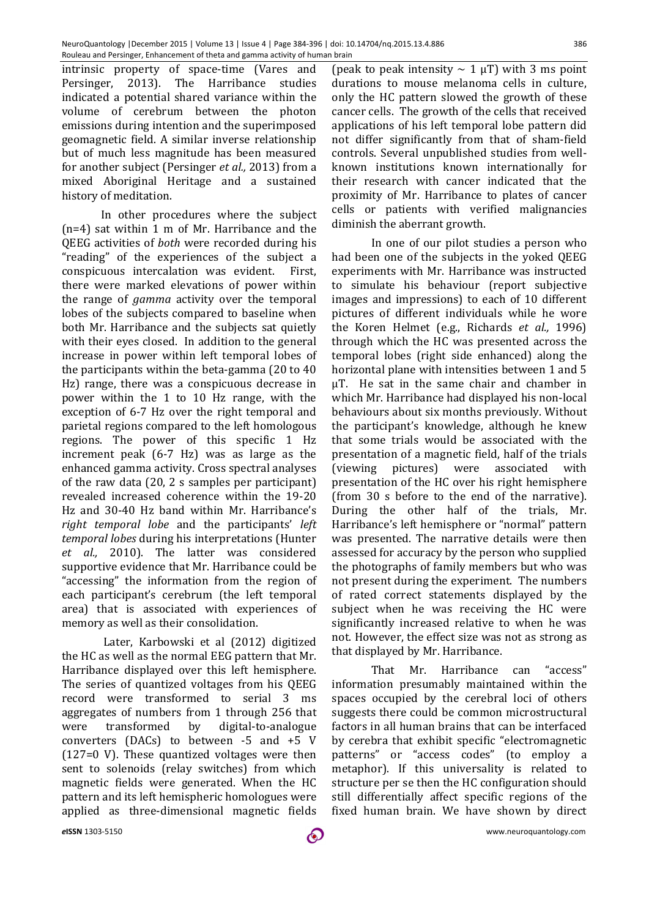intrinsic property of space-time (Vares and Persinger, 2013). The Harribance studies indicated a potential shared variance within the volume of cerebrum between the photon emissions during intention and the superimposed geomagnetic field. A similar inverse relationship but of much less magnitude has been measured for another subject (Persinger *et al.,* 2013) from a mixed Aboriginal Heritage and a sustained history of meditation.

In other procedures where the subject (n=4) sat within 1 m of Mr. Harribance and the QEEG activities of *both* were recorded during his "reading" of the experiences of the subject a conspicuous intercalation was evident. First, there were marked elevations of power within the range of *gamma* activity over the temporal lobes of the subjects compared to baseline when both Mr. Harribance and the subjects sat quietly with their eyes closed. In addition to the general increase in power within left temporal lobes of the participants within the beta-gamma (20 to 40 Hz) range, there was a conspicuous decrease in power within the 1 to 10 Hz range, with the exception of 6-7 Hz over the right temporal and parietal regions compared to the left homologous regions. The power of this specific 1 Hz increment peak (6-7 Hz) was as large as the enhanced gamma activity. Cross spectral analyses of the raw data (20, 2 s samples per participant) revealed increased coherence within the 19-20 Hz and 30-40 Hz band within Mr. Harribance's *right temporal lobe* and the participants' *left temporal lobes* during his interpretations (Hunter *et al.,* 2010). The latter was considered supportive evidence that Mr. Harribance could be "accessing" the information from the region of each participant's cerebrum (the left temporal area) that is associated with experiences of memory as well as their consolidation.

Later, Karbowski et al (2012) digitized the HC as well as the normal EEG pattern that Mr. Harribance displayed over this left hemisphere. The series of quantized voltages from his QEEG record were transformed to serial 3 ms aggregates of numbers from 1 through 256 that were transformed by digital-to-analogue converters (DACs) to between -5 and +5 V (127=0 V). These quantized voltages were then sent to solenoids (relay switches) from which magnetic fields were generated. When the HC pattern and its left hemispheric homologues were applied as three-dimensional magnetic fields

(peak to peak intensity  $\sim 1 \mu T$ ) with 3 ms point durations to mouse melanoma cells in culture, only the HC pattern slowed the growth of these cancer cells. The growth of the cells that received applications of his left temporal lobe pattern did not differ significantly from that of sham-field controls. Several unpublished studies from wellknown institutions known internationally for their research with cancer indicated that the proximity of Mr. Harribance to plates of cancer cells or patients with verified malignancies diminish the aberrant growth.

In one of our pilot studies a person who had been one of the subjects in the yoked QEEG experiments with Mr. Harribance was instructed to simulate his behaviour (report subjective images and impressions) to each of 10 different pictures of different individuals while he wore the Koren Helmet (e.g., Richards *et al.,* 1996) through which the HC was presented across the temporal lobes (right side enhanced) along the horizontal plane with intensities between 1 and 5 μT. He sat in the same chair and chamber in which Mr. Harribance had displayed his non-local behaviours about six months previously. Without the participant's knowledge, although he knew that some trials would be associated with the presentation of a magnetic field, half of the trials (viewing pictures) were associated with presentation of the HC over his right hemisphere (from 30 s before to the end of the narrative). During the other half of the trials, Mr. Harribance's left hemisphere or "normal" pattern was presented. The narrative details were then assessed for accuracy by the person who supplied the photographs of family members but who was not present during the experiment. The numbers of rated correct statements displayed by the subject when he was receiving the HC were significantly increased relative to when he was not. However, the effect size was not as strong as that displayed by Mr. Harribance.

That Mr. Harribance can "access" information presumably maintained within the spaces occupied by the cerebral loci of others suggests there could be common microstructural factors in all human brains that can be interfaced by cerebra that exhibit specific "electromagnetic patterns" or "access codes" (to employ a metaphor). If this universality is related to structure per se then the HC configuration should still differentially affect specific regions of the fixed human brain. We have shown by direct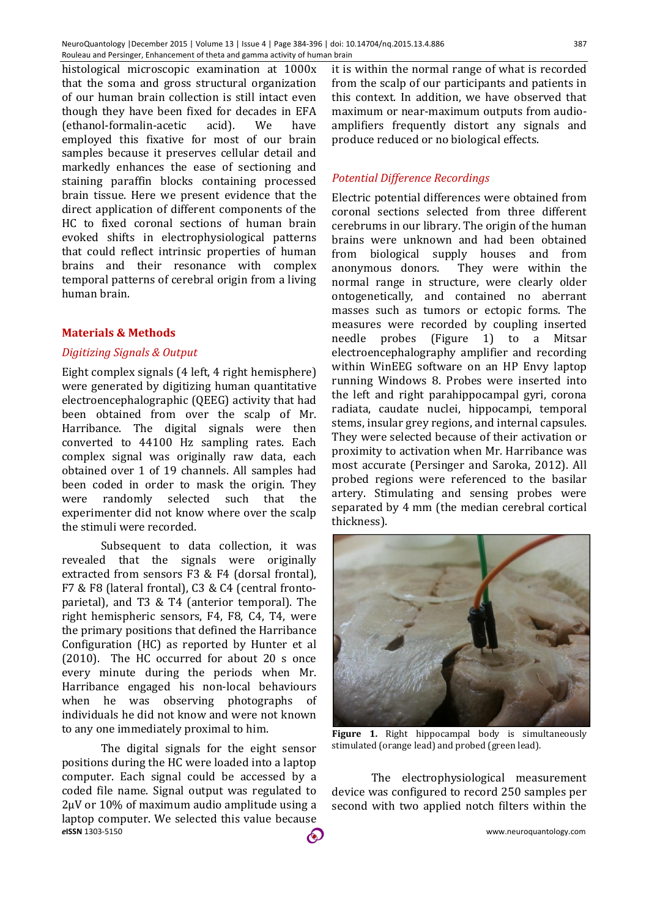histological microscopic examination at 1000x that the soma and gross structural organization of our human brain collection is still intact even though they have been fixed for decades in EFA (ethanol-formalin-acetic acid). We have employed this fixative for most of our brain samples because it preserves cellular detail and markedly enhances the ease of sectioning and staining paraffin blocks containing processed brain tissue. Here we present evidence that the direct application of different components of the HC to fixed coronal sections of human brain evoked shifts in electrophysiological patterns that could reflect intrinsic properties of human brains and their resonance with complex temporal patterns of cerebral origin from a living human brain.

# **Materials & Methods**

# *Digitizing Signals & Output*

Eight complex signals (4 left, 4 right hemisphere) were generated by digitizing human quantitative electroencephalographic (QEEG) activity that had been obtained from over the scalp of Mr. Harribance. The digital signals were then converted to 44100 Hz sampling rates. Each complex signal was originally raw data, each obtained over 1 of 19 channels. All samples had been coded in order to mask the origin. They were randomly selected such that the experimenter did not know where over the scalp the stimuli were recorded.

Subsequent to data collection, it was revealed that the signals were originally extracted from sensors F3 & F4 (dorsal frontal), F7 & F8 (lateral frontal), C3 & C4 (central frontoparietal), and T3 & T4 (anterior temporal). The right hemispheric sensors, F4, F8, C4, T4, were the primary positions that defined the Harribance Configuration (HC) as reported by Hunter et al (2010). The HC occurred for about 20 s once every minute during the periods when Mr. Harribance engaged his non-local behaviours when he was observing photographs of individuals he did not know and were not known to any one immediately proximal to him.

*e***ISSN** 1303-5150 www.neuroquantology.com The digital signals for the eight sensor positions during the HC were loaded into a laptop computer. Each signal could be accessed by a coded file name. Signal output was regulated to 2µV or 10% of maximum audio amplitude using a laptop computer. We selected this value because

it is within the normal range of what is recorded from the scalp of our participants and patients in this context. In addition, we have observed that maximum or near-maximum outputs from audioamplifiers frequently distort any signals and produce reduced or no biological effects.

# *Potential Difference Recordings*

Electric potential differences were obtained from coronal sections selected from three different cerebrums in our library. The origin of the human brains were unknown and had been obtained from biological supply houses and from anonymous donors. They were within the normal range in structure, were clearly older ontogenetically, and contained no aberrant masses such as tumors or ectopic forms. The measures were recorded by coupling inserted needle probes (Figure 1) to a Mitsar electroencephalography amplifier and recording within WinEEG software on an HP Envy laptop running Windows 8. Probes were inserted into the left and right parahippocampal gyri, corona radiata, caudate nuclei, hippocampi, temporal stems, insular grey regions, and internal capsules. They were selected because of their activation or proximity to activation when Mr. Harribance was most accurate (Persinger and Saroka, 2012). All probed regions were referenced to the basilar artery. Stimulating and sensing probes were separated by 4 mm (the median cerebral cortical thickness).



**Figure 1.** Right hippocampal body is simultaneously stimulated (orange lead) and probed (green lead).

The electrophysiological measurement device was configured to record 250 samples per second with two applied notch filters within the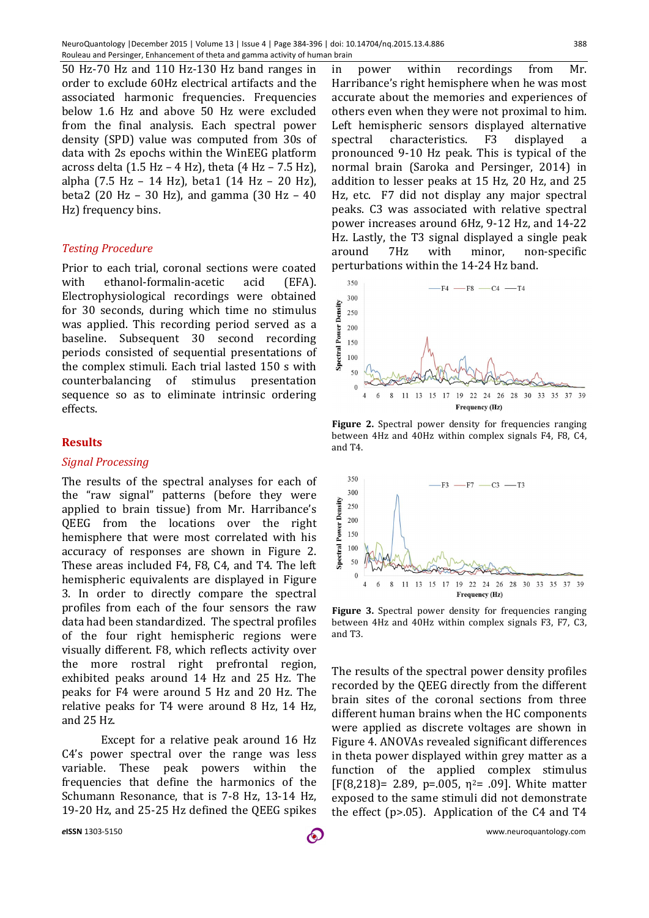50 Hz-70 Hz and 110 Hz-130 Hz band ranges in order to exclude 60Hz electrical artifacts and the associated harmonic frequencies. Frequencies below 1.6 Hz and above 50 Hz were excluded from the final analysis. Each spectral power density (SPD) value was computed from 30s of data with 2s epochs within the WinEEG platform across delta (1.5 Hz – 4 Hz), theta (4 Hz – 7.5 Hz), alpha (7.5 Hz – 14 Hz), beta1 (14 Hz – 20 Hz), beta2 (20 Hz – 30 Hz), and gamma (30 Hz – 40 Hz) frequency bins.

#### *Testing Procedure*

Prior to each trial, coronal sections were coated with ethanol-formalin-acetic acid (EFA). Electrophysiological recordings were obtained for 30 seconds, during which time no stimulus was applied. This recording period served as a baseline. Subsequent 30 second recording periods consisted of sequential presentations of the complex stimuli. Each trial lasted 150 s with counterbalancing of stimulus presentation sequence so as to eliminate intrinsic ordering effects.

### **Results**

#### *Signal Processing*

The results of the spectral analyses for each of the "raw signal" patterns (before they were applied to brain tissue) from Mr. Harribance's QEEG from the locations over the right hemisphere that were most correlated with his accuracy of responses are shown in Figure 2. These areas included F4, F8, C4, and T4. The left hemispheric equivalents are displayed in Figure 3. In order to directly compare the spectral profiles from each of the four sensors the raw data had been standardized. The spectral profiles of the four right hemispheric regions were visually different. F8, which reflects activity over the more rostral right prefrontal region, exhibited peaks around 14 Hz and 25 Hz. The peaks for F4 were around 5 Hz and 20 Hz. The relative peaks for T4 were around 8 Hz, 14 Hz, and 25 Hz.

Except for a relative peak around 16 Hz C4's power spectral over the range was less variable. These peak powers within the frequencies that define the harmonics of the Schumann Resonance, that is 7-8 Hz, 13-14 Hz, 19-20 Hz, and 25-25 Hz defined the QEEG spikes

in power within recordings from Mr. Harribance's right hemisphere when he was most accurate about the memories and experiences of others even when they were not proximal to him. Left hemispheric sensors displayed alternative spectral characteristics. F3 displayed a pronounced 9-10 Hz peak. This is typical of the normal brain (Saroka and Persinger, 2014) in addition to lesser peaks at 15 Hz, 20 Hz, and 25 Hz, etc. F7 did not display any major spectral peaks. C3 was associated with relative spectral power increases around 6Hz, 9-12 Hz, and 14-22 Hz. Lastly, the T3 signal displayed a single peak around 7Hz with minor, non-specific perturbations within the 14-24 Hz band.



**Figure 2.** Spectral power density for frequencies ranging between 4Hz and 40Hz within complex signals F4, F8, C4, and T4.



**Figure 3.** Spectral power density for frequencies ranging between 4Hz and 40Hz within complex signals F3, F7, C3, and T3.

The results of the spectral power density profiles recorded by the QEEG directly from the different brain sites of the coronal sections from three different human brains when the HC components were applied as discrete voltages are shown in Figure 4. ANOVAs revealed significant differences in theta power displayed within grey matter as a function of the applied complex stimulus  $[F(8,218) = 2.89, p=.005, \eta^2 = .09]$ . White matter exposed to the same stimuli did not demonstrate the effect (p>.05). Application of the C4 and T4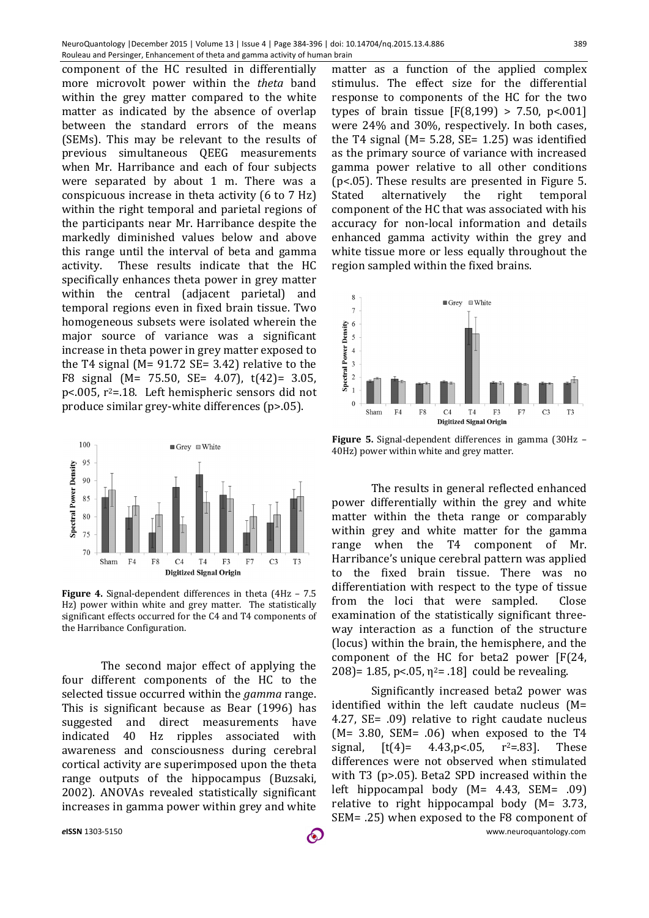component of the HC resulted in differentially more microvolt power within the *theta* band within the grey matter compared to the white matter as indicated by the absence of overlap between the standard errors of the means (SEMs). This may be relevant to the results of previous simultaneous QEEG measurements when Mr. Harribance and each of four subjects were separated by about 1 m. There was a conspicuous increase in theta activity (6 to 7 Hz) within the right temporal and parietal regions of the participants near Mr. Harribance despite the markedly diminished values below and above this range until the interval of beta and gamma activity. These results indicate that the HC specifically enhances theta power in grey matter within the central (adjacent parietal) and temporal regions even in fixed brain tissue. Two homogeneous subsets were isolated wherein the major source of variance was a significant increase in theta power in grey matter exposed to the T4 signal ( $M = 91.72$  SE= 3.42) relative to the F8 signal (M= 75.50, SE= 4.07), t(42)= 3.05, p<.005, r2=.18. Left hemispheric sensors did not produce similar grey-white differences (p>.05).



**Figure 4.** Signal-dependent differences in theta (4Hz – 7.5 Hz) power within white and grey matter. The statistically significant effects occurred for the C4 and T4 components of the Harribance Configuration.

The second major effect of applying the four different components of the HC to the selected tissue occurred within the *gamma* range. This is significant because as Bear (1996) has suggested and direct measurements have indicated 40 Hz ripples associated with awareness and consciousness during cerebral cortical activity are superimposed upon the theta range outputs of the hippocampus (Buzsaki, 2002). ANOVAs revealed statistically significant increases in gamma power within grey and white

matter as a function of the applied complex stimulus. The effect size for the differential response to components of the HC for the two types of brain tissue  $[F(8,199) > 7.50, p<0.01]$ were 24% and 30%, respectively. In both cases, the T4 signal ( $M = 5.28$ , SE= 1.25) was identified as the primary source of variance with increased gamma power relative to all other conditions (p<.05). These results are presented in Figure 5. Stated alternatively the right temporal component of the HC that was associated with his accuracy for non-local information and details enhanced gamma activity within the grey and white tissue more or less equally throughout the region sampled within the fixed brains.



**Figure 5.** Signal-dependent differences in gamma (30Hz – 40Hz) power within white and grey matter.

The results in general reflected enhanced power differentially within the grey and white matter within the theta range or comparably within grey and white matter for the gamma range when the T4 component of Mr. Harribance's unique cerebral pattern was applied to the fixed brain tissue. There was no differentiation with respect to the type of tissue from the loci that were sampled. Close examination of the statistically significant threeway interaction as a function of the structure (locus) within the brain, the hemisphere, and the component of the HC for beta2 power [F(24, 208) = 1.85, p < 05,  $\eta$ <sup>2</sup> = .18] could be revealing.

*e***ISSN** 1303-5150 www.neuroquantology.com Significantly increased beta2 power was identified within the left caudate nucleus (M= 4.27, SE= .09) relative to right caudate nucleus  $(M= 3.80, SEM= .06)$  when exposed to the T4 signal,  $[t(4) = 4.43, p < .05, r^2 = .83]$ . These differences were not observed when stimulated with T3 (p>.05). Beta2 SPD increased within the left hippocampal body (M= 4.43, SEM= .09) relative to right hippocampal body (M= 3.73, SEM= .25) when exposed to the F8 component of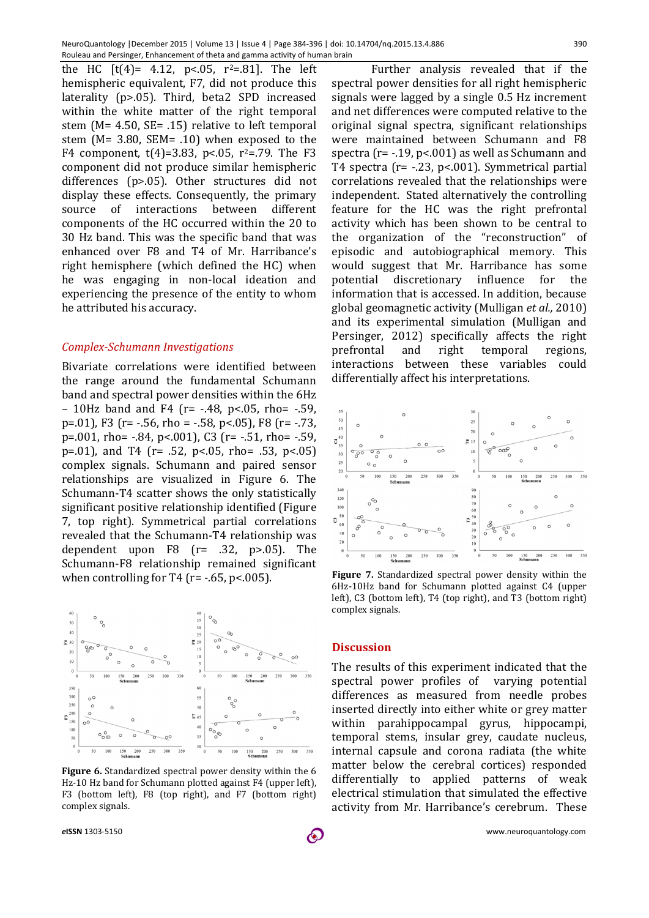390

the HC  $[t(4) = 4.12, p < 0.05, r^2 = .81]$ . The left hemispheric equivalent, F7, did not produce this laterality (p>.05). Third, beta2 SPD increased within the white matter of the right temporal stem (M= 4.50, SE= .15) relative to left temporal stem (M= 3.80, SEM= .10) when exposed to the F4 component,  $t(4)=3.83$ , p<.05, r<sup>2</sup>=.79. The F3 component did not produce similar hemispheric differences (p>.05). Other structures did not display these effects. Consequently, the primary source of interactions between different components of the HC occurred within the 20 to 30 Hz band. This was the specific band that was enhanced over F8 and T4 of Mr. Harribance's right hemisphere (which defined the HC) when he was engaging in non-local ideation and experiencing the presence of the entity to whom he attributed his accuracy.

### *Complex-Schumann Investigations*

Bivariate correlations were identified between the range around the fundamental Schumann band and spectral power densities within the 6Hz – 10Hz band and F4 ( $r$  = -.48,  $p$  <.05, rho = -.59, p=.01), F3 (r= -.56, rho = -.58, p<.05), F8 (r= -.73, p=.001, rho= -.84, p<.001), C3 (r= -.51, rho= -.59, p=.01), and T4 (r= .52, p<.05, rho= .53, p<.05) complex signals. Schumann and paired sensor relationships are visualized in Figure 6. The Schumann-T4 scatter shows the only statistically significant positive relationship identified (Figure 7, top right). Symmetrical partial correlations revealed that the Schumann-T4 relationship was dependent upon  $F8$  ( $r= .32$ ,  $p> .05$ ). The Schumann-F8 relationship remained significant when controlling for T4 ( $r = -0.65$ ,  $p < 0.005$ ).



**Figure 6.** Standardized spectral power density within the 6 Hz-10 Hz band for Schumann plotted against F4 (upper left), F3 (bottom left), F8 (top right), and F7 (bottom right) complex signals.

Further analysis revealed that if the spectral power densities for all right hemispheric signals were lagged by a single 0.5 Hz increment and net differences were computed relative to the original signal spectra, significant relationships were maintained between Schumann and F8 spectra (r= -.19, p<.001) as well as Schumann and T4 spectra (r= -.23, p<.001). Symmetrical partial correlations revealed that the relationships were independent. Stated alternatively the controlling feature for the HC was the right prefrontal activity which has been shown to be central to the organization of the "reconstruction" of episodic and autobiographical memory. This would suggest that Mr. Harribance has some potential discretionary influence for the information that is accessed. In addition, because global geomagnetic activity (Mulligan *et al.,* 2010) and its experimental simulation (Mulligan and Persinger, 2012) specifically affects the right prefrontal and right temporal regions, interactions between these variables could differentially affect his interpretations.



**Figure 7.** Standardized spectral power density within the 6Hz-10Hz band for Schumann plotted against C4 (upper left), C3 (bottom left), T4 (top right), and T3 (bottom right) complex signals.

# **Discussion**

The results of this experiment indicated that the spectral power profiles of varying potential differences as measured from needle probes inserted directly into either white or grey matter within parahippocampal gyrus, hippocampi, temporal stems, insular grey, caudate nucleus, internal capsule and corona radiata (the white matter below the cerebral cortices) responded differentially to applied patterns of weak electrical stimulation that simulated the effective activity from Mr. Harribance's cerebrum. These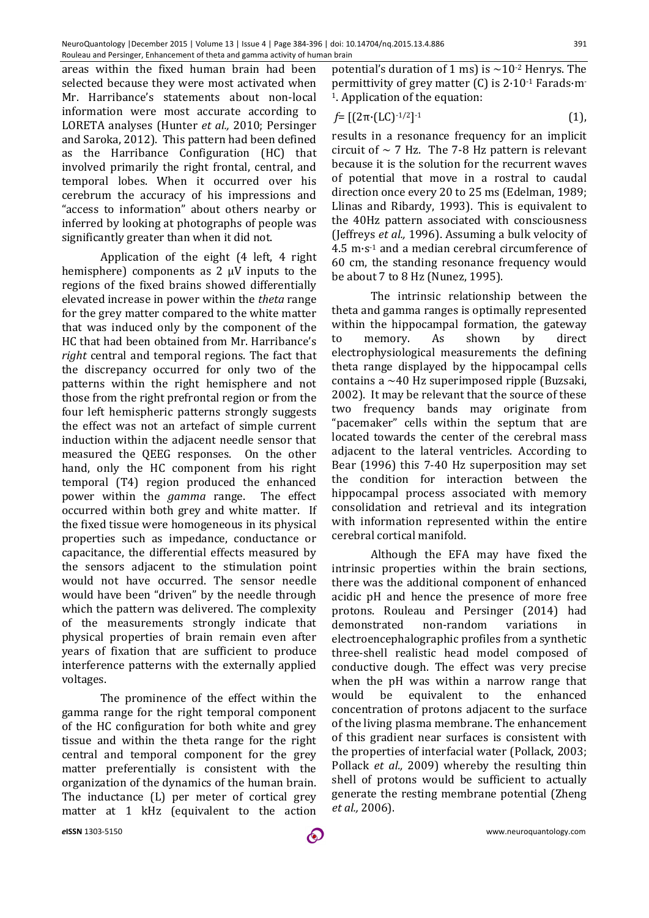areas within the fixed human brain had been selected because they were most activated when Mr. Harribance's statements about non-local information were most accurate according to LORETA analyses (Hunter *et al.,* 2010; Persinger and Saroka, 2012). This pattern had been defined as the Harribance Configuration (HC) that involved primarily the right frontal, central, and temporal lobes. When it occurred over his cerebrum the accuracy of his impressions and "access to information" about others nearby or inferred by looking at photographs of people was significantly greater than when it did not.

Application of the eight (4 left, 4 right hemisphere) components as 2 μV inputs to the regions of the fixed brains showed differentially elevated increase in power within the *theta* range for the grey matter compared to the white matter that was induced only by the component of the HC that had been obtained from Mr. Harribance's *right* central and temporal regions. The fact that the discrepancy occurred for only two of the patterns within the right hemisphere and not those from the right prefrontal region or from the four left hemispheric patterns strongly suggests the effect was not an artefact of simple current induction within the adjacent needle sensor that measured the QEEG responses. On the other hand, only the HC component from his right temporal (T4) region produced the enhanced power within the *gamma* range. The effect occurred within both grey and white matter. If the fixed tissue were homogeneous in its physical properties such as impedance, conductance or capacitance, the differential effects measured by the sensors adjacent to the stimulation point would not have occurred. The sensor needle would have been "driven" by the needle through which the pattern was delivered. The complexity of the measurements strongly indicate that physical properties of brain remain even after years of fixation that are sufficient to produce interference patterns with the externally applied voltages.

The prominence of the effect within the gamma range for the right temporal component of the HC configuration for both white and grey tissue and within the theta range for the right central and temporal component for the grey matter preferentially is consistent with the organization of the dynamics of the human brain. The inductance (L) per meter of cortical grey matter at 1 kHz (equivalent to the action

potential's duration of 1 ms) is  $\sim$ 10<sup>-2</sup> Henrys. The permittivity of grey matter (C) is 2·10-1 Farads·m-1. Application of the equation:

$$
f = [(2\pi \cdot (LC)^{-1/2}]^{-1}
$$
 (1),

results in a resonance frequency for an implicit circuit of  $\sim$  7 Hz. The 7-8 Hz pattern is relevant because it is the solution for the recurrent waves of potential that move in a rostral to caudal direction once every 20 to 25 ms (Edelman, 1989; Llinas and Ribardy, 1993). This is equivalent to the 40Hz pattern associated with consciousness (Jeffreys *et al.,* 1996). Assuming a bulk velocity of 4.5 m·s-1 and a median cerebral circumference of 60 cm, the standing resonance frequency would be about 7 to 8 Hz (Nunez, 1995).

The intrinsic relationship between the theta and gamma ranges is optimally represented within the hippocampal formation, the gateway to memory. As shown by direct electrophysiological measurements the defining theta range displayed by the hippocampal cells contains a ~40 Hz superimposed ripple (Buzsaki, 2002). It may be relevant that the source of these two frequency bands may originate from "pacemaker" cells within the septum that are located towards the center of the cerebral mass adjacent to the lateral ventricles. According to Bear (1996) this 7-40 Hz superposition may set the condition for interaction between the hippocampal process associated with memory consolidation and retrieval and its integration with information represented within the entire cerebral cortical manifold.

Although the EFA may have fixed the intrinsic properties within the brain sections, there was the additional component of enhanced acidic pH and hence the presence of more free protons. Rouleau and Persinger (2014) had demonstrated non-random variations in electroencephalographic profiles from a synthetic three-shell realistic head model composed of conductive dough. The effect was very precise when the pH was within a narrow range that would be equivalent to the enhanced concentration of protons adjacent to the surface of the living plasma membrane. The enhancement of this gradient near surfaces is consistent with the properties of interfacial water (Pollack, 2003; Pollack *et al.,* 2009) whereby the resulting thin shell of protons would be sufficient to actually generate the resting membrane potential (Zheng *et al.,* 2006).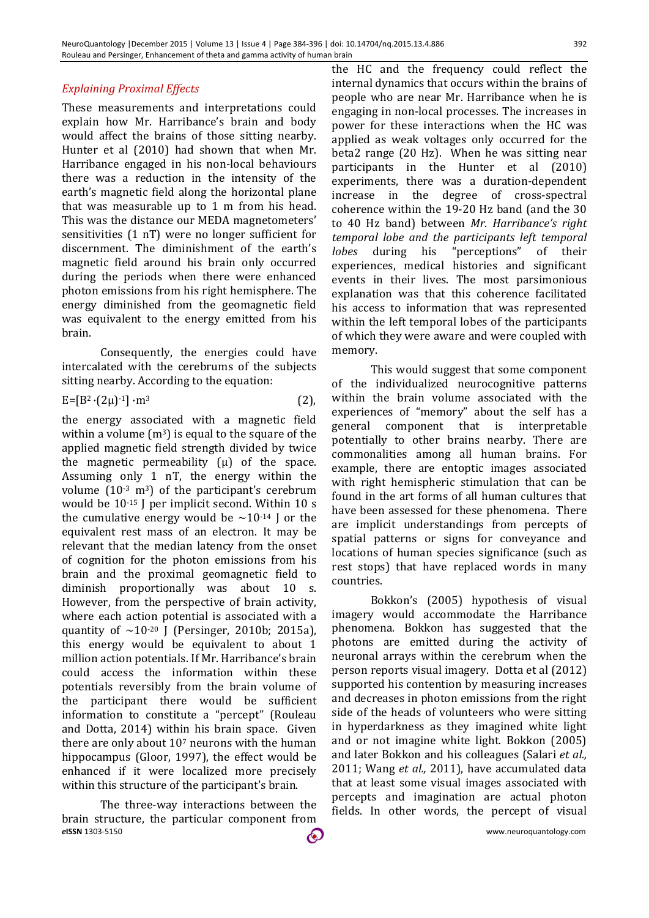# *Explaining Proximal Effects*

These measurements and interpretations could explain how Mr. Harribance's brain and body would affect the brains of those sitting nearby. Hunter et al (2010) had shown that when Mr. Harribance engaged in his non-local behaviours there was a reduction in the intensity of the earth's magnetic field along the horizontal plane that was measurable up to 1 m from his head. This was the distance our MEDA magnetometers' sensitivities (1 nT) were no longer sufficient for discernment. The diminishment of the earth's magnetic field around his brain only occurred during the periods when there were enhanced photon emissions from his right hemisphere. The energy diminished from the geomagnetic field was equivalent to the energy emitted from his brain.

Consequently, the energies could have intercalated with the cerebrums of the subjects sitting nearby. According to the equation:

$$
E = [B2 \cdot (2\mu)^{-1}] \cdot m3
$$
 (2),

the energy associated with a magnetic field within a volume  $(m^3)$  is equal to the square of the applied magnetic field strength divided by twice the magnetic permeability  $(\mu)$  of the space. Assuming only 1 nT, the energy within the volume  $(10^{-3} \text{ m}^3)$  of the participant's cerebrum would be 10-15 J per implicit second. Within 10 s the cumulative energy would be  $\sim 10^{-14}$  J or the equivalent rest mass of an electron. It may be relevant that the median latency from the onset of cognition for the photon emissions from his brain and the proximal geomagnetic field to diminish proportionally was about 10 s. However, from the perspective of brain activity, where each action potential is associated with a quantity of  $\sim$ 10<sup>-20</sup> J (Persinger, 2010b; 2015a), this energy would be equivalent to about 1 million action potentials. If Mr. Harribance's brain could access the information within these potentials reversibly from the brain volume of the participant there would be sufficient information to constitute a "percept" (Rouleau and Dotta, 2014) within his brain space. Given there are only about  $10<sup>7</sup>$  neurons with the human hippocampus (Gloor, 1997), the effect would be enhanced if it were localized more precisely within this structure of the participant's brain.

*e***ISSN** 1303-5150 www.neuroquantology.com The three-way interactions between the brain structure, the particular component from

the HC and the frequency could reflect the internal dynamics that occurs within the brains of people who are near Mr. Harribance when he is engaging in non-local processes. The increases in power for these interactions when the HC was applied as weak voltages only occurred for the beta2 range (20 Hz). When he was sitting near participants in the Hunter et al (2010) experiments, there was a duration-dependent increase in the degree of cross-spectral coherence within the 19-20 Hz band (and the 30 to 40 Hz band) between *Mr. Harribance's right temporal lobe and the participants left temporal lobes* during his "perceptions" of their experiences, medical histories and significant events in their lives. The most parsimonious explanation was that this coherence facilitated his access to information that was represented within the left temporal lobes of the participants of which they were aware and were coupled with memory.

This would suggest that some component of the individualized neurocognitive patterns within the brain volume associated with the experiences of "memory" about the self has a general component that is interpretable potentially to other brains nearby. There are commonalities among all human brains. For example, there are entoptic images associated with right hemispheric stimulation that can be found in the art forms of all human cultures that have been assessed for these phenomena. There are implicit understandings from percepts of spatial patterns or signs for conveyance and locations of human species significance (such as rest stops) that have replaced words in many countries.

Bokkon's (2005) hypothesis of visual imagery would accommodate the Harribance phenomena. Bokkon has suggested that the photons are emitted during the activity of neuronal arrays within the cerebrum when the person reports visual imagery. Dotta et al (2012) supported his contention by measuring increases and decreases in photon emissions from the right side of the heads of volunteers who were sitting in hyperdarkness as they imagined white light and or not imagine white light. Bokkon (2005) and later Bokkon and his colleagues (Salari *et al.,* 2011; Wang *et al.,* 2011), have accumulated data that at least some visual images associated with percepts and imagination are actual photon fields. In other words, the percept of visual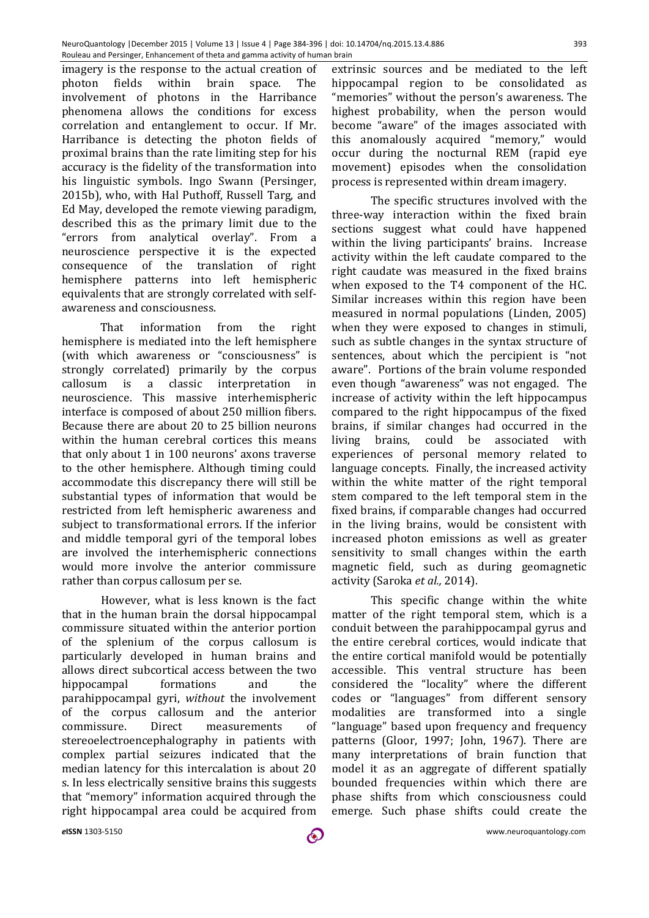imagery is the response to the actual creation of photon fields within brain space. The involvement of photons in the Harribance phenomena allows the conditions for excess correlation and entanglement to occur. If Mr. Harribance is detecting the photon fields of proximal brains than the rate limiting step for his accuracy is the fidelity of the transformation into his linguistic symbols. Ingo Swann (Persinger, 2015b), who, with Hal Puthoff, Russell Targ, and Ed May, developed the remote viewing paradigm, described this as the primary limit due to the "errors from analytical overlay". From a neuroscience perspective it is the expected consequence of the translation of right hemisphere patterns into left hemispheric equivalents that are strongly correlated with selfawareness and consciousness.

That information from the right hemisphere is mediated into the left hemisphere (with which awareness or "consciousness" is strongly correlated) primarily by the corpus callosum is a classic interpretation in neuroscience. This massive interhemispheric interface is composed of about 250 million fibers. Because there are about 20 to 25 billion neurons within the human cerebral cortices this means that only about 1 in 100 neurons' axons traverse to the other hemisphere. Although timing could accommodate this discrepancy there will still be substantial types of information that would be restricted from left hemispheric awareness and subject to transformational errors. If the inferior and middle temporal gyri of the temporal lobes are involved the interhemispheric connections would more involve the anterior commissure rather than corpus callosum per se.

However, what is less known is the fact that in the human brain the dorsal hippocampal commissure situated within the anterior portion of the splenium of the corpus callosum is particularly developed in human brains and allows direct subcortical access between the two hippocampal formations and the parahippocampal gyri, *without* the involvement of the corpus callosum and the anterior commissure. Direct measurements of stereoelectroencephalography in patients with complex partial seizures indicated that the median latency for this intercalation is about 20 s. In less electrically sensitive brains this suggests that "memory" information acquired through the right hippocampal area could be acquired from

extrinsic sources and be mediated to the left hippocampal region to be consolidated as "memories" without the person's awareness. The highest probability, when the person would become "aware" of the images associated with this anomalously acquired "memory," would occur during the nocturnal REM (rapid eye movement) episodes when the consolidation process is represented within dream imagery.

The specific structures involved with the three-way interaction within the fixed brain sections suggest what could have happened within the living participants' brains. Increase activity within the left caudate compared to the right caudate was measured in the fixed brains when exposed to the T4 component of the HC. Similar increases within this region have been measured in normal populations (Linden, 2005) when they were exposed to changes in stimuli, such as subtle changes in the syntax structure of sentences, about which the percipient is "not aware". Portions of the brain volume responded even though "awareness" was not engaged. The increase of activity within the left hippocampus compared to the right hippocampus of the fixed brains, if similar changes had occurred in the living brains, could be associated with experiences of personal memory related to language concepts. Finally, the increased activity within the white matter of the right temporal stem compared to the left temporal stem in the fixed brains, if comparable changes had occurred in the living brains, would be consistent with increased photon emissions as well as greater sensitivity to small changes within the earth magnetic field, such as during geomagnetic activity (Saroka *et al.,* 2014).

This specific change within the white matter of the right temporal stem, which is a conduit between the parahippocampal gyrus and the entire cerebral cortices, would indicate that the entire cortical manifold would be potentially accessible. This ventral structure has been considered the "locality" where the different codes or "languages" from different sensory modalities are transformed into a single "language" based upon frequency and frequency patterns (Gloor, 1997; John, 1967). There are many interpretations of brain function that model it as an aggregate of different spatially bounded frequencies within which there are phase shifts from which consciousness could emerge. Such phase shifts could create the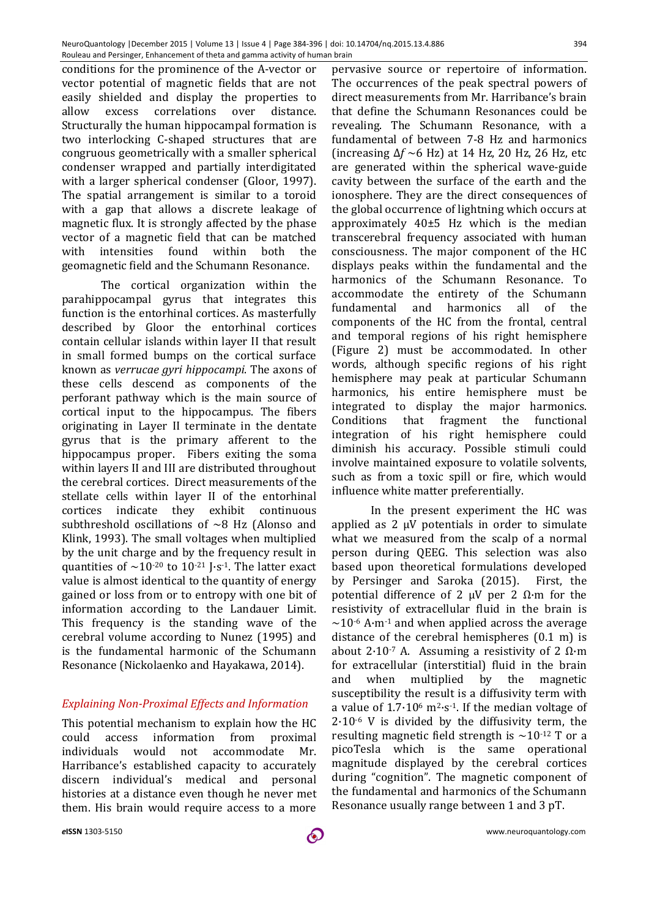conditions for the prominence of the A-vector or vector potential of magnetic fields that are not easily shielded and display the properties to allow excess correlations over distance. Structurally the human hippocampal formation is two interlocking C-shaped structures that are congruous geometrically with a smaller spherical condenser wrapped and partially interdigitated with a larger spherical condenser (Gloor, 1997). The spatial arrangement is similar to a toroid with a gap that allows a discrete leakage of magnetic flux. It is strongly affected by the phase vector of a magnetic field that can be matched with intensities found within both the geomagnetic field and the Schumann Resonance.

The cortical organization within the parahippocampal gyrus that integrates this function is the entorhinal cortices. As masterfully described by Gloor the entorhinal cortices contain cellular islands within layer II that result in small formed bumps on the cortical surface known as *verrucae gyri hippocampi*. The axons of these cells descend as components of the perforant pathway which is the main source of cortical input to the hippocampus. The fibers originating in Layer II terminate in the dentate gyrus that is the primary afferent to the hippocampus proper. Fibers exiting the soma within layers II and III are distributed throughout the cerebral cortices. Direct measurements of the stellate cells within layer II of the entorhinal cortices indicate they exhibit continuous subthreshold oscillations of  $\sim$ 8 Hz (Alonso and Klink, 1993). The small voltages when multiplied by the unit charge and by the frequency result in quantities of  $\sim$ 10<sup>-20</sup> to 10<sup>-21</sup> J·s<sup>-1</sup>. The latter exact value is almost identical to the quantity of energy gained or loss from or to entropy with one bit of information according to the Landauer Limit. This frequency is the standing wave of the cerebral volume according to Nunez (1995) and is the fundamental harmonic of the Schumann Resonance (Nickolaenko and Hayakawa, 2014).

# *Explaining Non-Proximal Effects and Information*

This potential mechanism to explain how the HC could access information from proximal individuals would not accommodate Mr. Harribance's established capacity to accurately discern individual's medical and personal histories at a distance even though he never met them. His brain would require access to a more

pervasive source or repertoire of information. The occurrences of the peak spectral powers of direct measurements from Mr. Harribance's brain that define the Schumann Resonances could be revealing. The Schumann Resonance, with a fundamental of between 7-8 Hz and harmonics (increasing Δ*f* ~6 Hz) at 14 Hz, 20 Hz, 26 Hz, etc are generated within the spherical wave-guide cavity between the surface of the earth and the ionosphere. They are the direct consequences of the global occurrence of lightning which occurs at approximately 40±5 Hz which is the median transcerebral frequency associated with human consciousness. The major component of the HC displays peaks within the fundamental and the harmonics of the Schumann Resonance. To accommodate the entirety of the Schumann fundamental and harmonics all of the components of the HC from the frontal, central and temporal regions of his right hemisphere (Figure 2) must be accommodated. In other words, although specific regions of his right hemisphere may peak at particular Schumann harmonics, his entire hemisphere must be integrated to display the major harmonics. Conditions that fragment the functional integration of his right hemisphere could diminish his accuracy. Possible stimuli could involve maintained exposure to volatile solvents, such as from a toxic spill or fire, which would influence white matter preferentially.

In the present experiment the HC was applied as 2 μV potentials in order to simulate what we measured from the scalp of a normal person during QEEG. This selection was also based upon theoretical formulations developed by Persinger and Saroka (2015). First, the potential difference of 2  $\mu$ V per 2 Ω·m for the resistivity of extracellular fluid in the brain is  $\sim$ 10<sup>-6</sup> A·m<sup>-1</sup> and when applied across the average distance of the cerebral hemispheres (0.1 m) is about 2·10<sup>-7</sup> A. Assuming a resistivity of 2 Ω·m for extracellular (interstitial) fluid in the brain and when multiplied by the magnetic susceptibility the result is a diffusivity term with a value of  $1.7 \cdot 10^6$  m<sup>2</sup> $\cdot$ s<sup>-1</sup>. If the median voltage of  $2.10<sup>-6</sup>$  V is divided by the diffusivity term, the resulting magnetic field strength is  $\sim$ 10<sup>-12</sup> T or a picoTesla which is the same operational magnitude displayed by the cerebral cortices during "cognition". The magnetic component of the fundamental and harmonics of the Schumann Resonance usually range between 1 and 3 pT.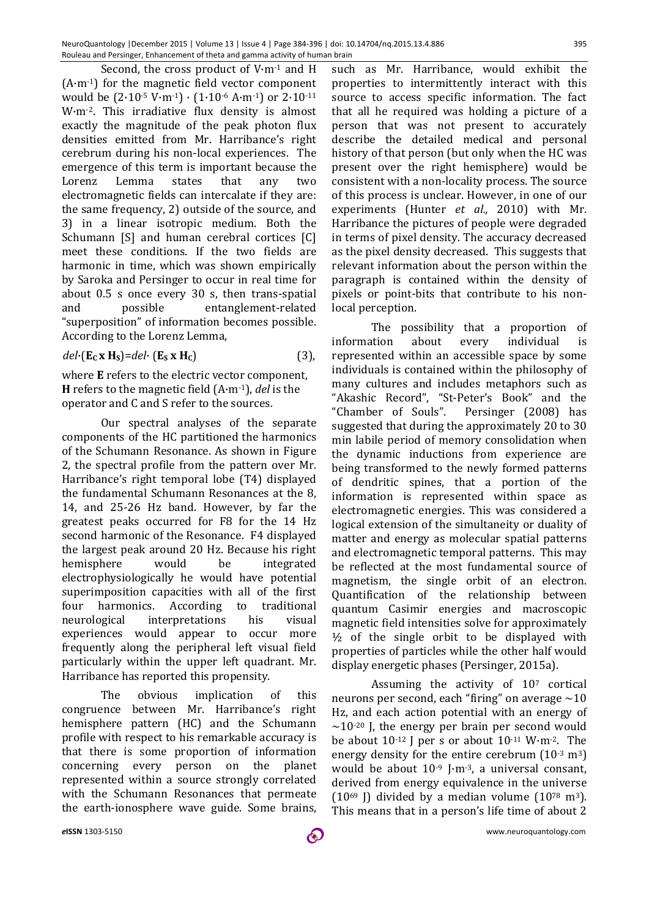Second, the cross product of V·m-1 and H (A·m-1) for the magnetic field vector component would be  $(2.10^{-5} \text{ V}\cdot\text{m}^{-1}) \cdot (1.10^{-6} \text{ A}\cdot\text{m}^{-1})$  or  $2.10^{-11}$ W·m-2. This irradiative flux density is almost exactly the magnitude of the peak photon flux densities emitted from Mr. Harribance's right cerebrum during his non-local experiences. The emergence of this term is important because the Lorenz Lemma states that any two electromagnetic fields can intercalate if they are: the same frequency, 2) outside of the source, and 3) in a linear isotropic medium. Both the Schumann [S] and human cerebral cortices [C] meet these conditions. If the two fields are harmonic in time, which was shown empirically by Saroka and Persinger to occur in real time for about 0.5 s once every 30 s, then trans-spatial and possible entanglement-related "superposition" of information becomes possible. According to the Lorenz Lemma,

$$
del \cdot (\mathbf{E}_{\mathbf{C}} \mathbf{x} \mathbf{H}_{\mathbf{S}}) = del \cdot (\mathbf{E}_{\mathbf{S}} \mathbf{x} \mathbf{H}_{\mathbf{C}})
$$
 (3),

where **E** refers to the electric vector component, **H** refers to the magnetic field (A·m-1), *del* is the operator and C and S refer to the sources.

Our spectral analyses of the separate components of the HC partitioned the harmonics of the Schumann Resonance. As shown in Figure 2, the spectral profile from the pattern over Mr. Harribance's right temporal lobe (T4) displayed the fundamental Schumann Resonances at the 8, 14, and 25-26 Hz band. However, by far the greatest peaks occurred for F8 for the 14 Hz second harmonic of the Resonance. F4 displayed the largest peak around 20 Hz. Because his right hemisphere would be integrated electrophysiologically he would have potential superimposition capacities with all of the first four harmonics. According to traditional neurological interpretations his visual experiences would appear to occur more frequently along the peripheral left visual field particularly within the upper left quadrant. Mr. Harribance has reported this propensity.

The obvious implication of this congruence between Mr. Harribance's right hemisphere pattern (HC) and the Schumann profile with respect to his remarkable accuracy is that there is some proportion of information concerning every person on the planet represented within a source strongly correlated with the Schumann Resonances that permeate the earth-ionosphere wave guide. Some brains,

such as Mr. Harribance, would exhibit the properties to intermittently interact with this source to access specific information. The fact that all he required was holding a picture of a person that was not present to accurately describe the detailed medical and personal history of that person (but only when the HC was present over the right hemisphere) would be consistent with a non-locality process. The source of this process is unclear. However, in one of our experiments (Hunter *et al.,* 2010) with Mr. Harribance the pictures of people were degraded in terms of pixel density. The accuracy decreased as the pixel density decreased. This suggests that relevant information about the person within the paragraph is contained within the density of pixels or point-bits that contribute to his nonlocal perception.

The possibility that a proportion of information about every individual is represented within an accessible space by some individuals is contained within the philosophy of many cultures and includes metaphors such as "Akashic Record", "St-Peter's Book" and the "Chamber of Souls". Persinger (2008) has suggested that during the approximately 20 to 30 min labile period of memory consolidation when the dynamic inductions from experience are being transformed to the newly formed patterns of dendritic spines, that a portion of the information is represented within space as electromagnetic energies. This was considered a logical extension of the simultaneity or duality of matter and energy as molecular spatial patterns and electromagnetic temporal patterns. This may be reflected at the most fundamental source of magnetism, the single orbit of an electron. Quantification of the relationship between quantum Casimir energies and macroscopic magnetic field intensities solve for approximately  $\frac{1}{2}$  of the single orbit to be displayed with properties of particles while the other half would display energetic phases (Persinger, 2015a).

Assuming the activity of 107 cortical neurons per second, each "firing" on average  $\sim 10$ Hz, and each action potential with an energy of  $\sim$ 10<sup>-20</sup> J, the energy per brain per second would be about 10-12 J per s or about 10-11 W·m-2. The energy density for the entire cerebrum  $(10<sup>-3</sup> m<sup>3</sup>)$ would be about 10-9 J·m-3, a universal consant, derived from energy equivalence in the universe  $(10^{69}$  J) divided by a median volume  $(10^{78} \text{ m}^3)$ . This means that in a person's life time of about 2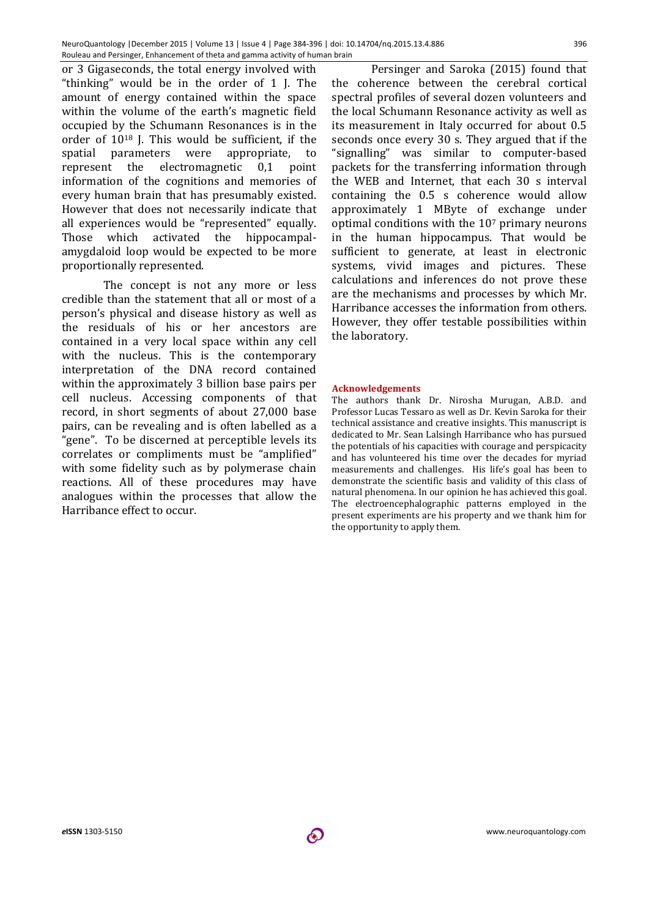or 3 Gigaseconds, the total energy involved with "thinking" would be in the order of 1 J. The amount of energy contained within the space within the volume of the earth's magnetic field occupied by the Schumann Resonances is in the order of 1018 J. This would be sufficient, if the spatial parameters were appropriate, to represent the electromagnetic 0,1 point information of the cognitions and memories of every human brain that has presumably existed. However that does not necessarily indicate that all experiences would be "represented" equally. Those which activated the hippocampalamygdaloid loop would be expected to be more proportionally represented.

The concept is not any more or less credible than the statement that all or most of a person's physical and disease history as well as the residuals of his or her ancestors are contained in a very local space within any cell with the nucleus. This is the contemporary interpretation of the DNA record contained within the approximately 3 billion base pairs per cell nucleus. Accessing components of that record, in short segments of about 27,000 base pairs, can be revealing and is often labelled as a "gene". To be discerned at perceptible levels its correlates or compliments must be "amplified" with some fidelity such as by polymerase chain reactions. All of these procedures may have analogues within the processes that allow the Harribance effect to occur.

Persinger and Saroka (2015) found that the coherence between the cerebral cortical spectral profiles of several dozen volunteers and the local Schumann Resonance activity as well as its measurement in Italy occurred for about 0.5 seconds once every 30 s. They argued that if the "signalling" was similar to computer-based packets for the transferring information through the WEB and Internet, that each 30 s interval containing the 0.5 s coherence would allow approximately 1 MByte of exchange under optimal conditions with the 107 primary neurons in the human hippocampus. That would be sufficient to generate, at least in electronic systems, vivid images and pictures. These calculations and inferences do not prove these are the mechanisms and processes by which Mr. Harribance accesses the information from others. However, they offer testable possibilities within the laboratory.

#### **Acknowledgements**

The authors thank Dr. Nirosha Murugan, A.B.D. and Professor Lucas Tessaro as well as Dr. Kevin Saroka for their technical assistance and creative insights. This manuscript is dedicated to Mr. Sean Lalsingh Harribance who has pursued the potentials of his capacities with courage and perspicacity and has volunteered his time over the decades for myriad measurements and challenges. His life's goal has been to demonstrate the scientific basis and validity of this class of natural phenomena. In our opinion he has achieved this goal. The electroencephalographic patterns employed in the present experiments are his property and we thank him for the opportunity to apply them.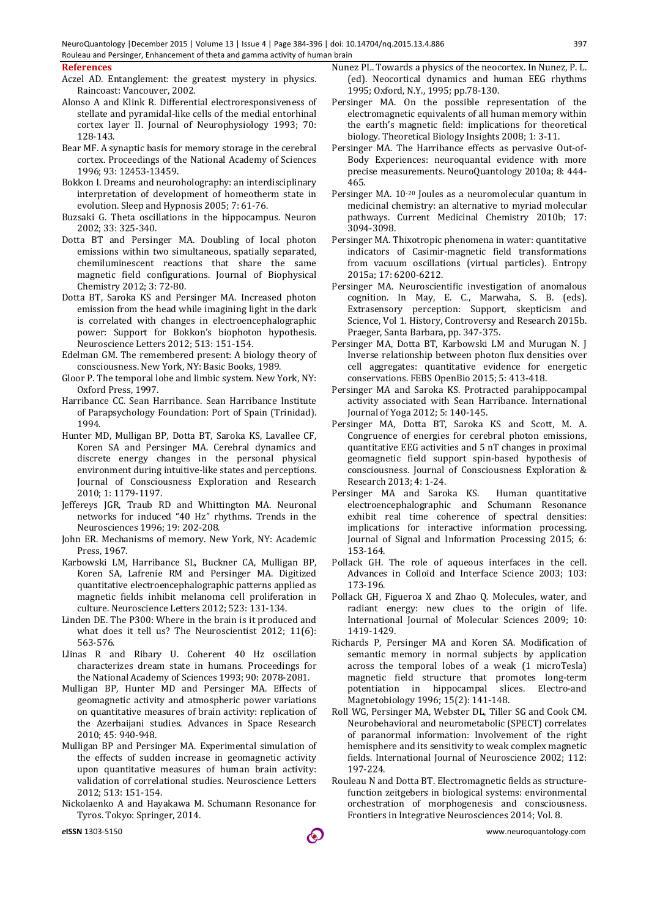#### **References**

- Aczel AD. Entanglement: the greatest mystery in physics. Raincoast: Vancouver, 2002.
- Alonso A and Klink R. Differential electroresponsiveness of stellate and pyramidal-like cells of the medial entorhinal cortex layer II. Journal of Neurophysiology 1993; 70: 128-143.
- Bear MF. A synaptic basis for memory storage in the cerebral cortex. Proceedings of the National Academy of Sciences 1996; 93: 12453-13459.
- Bokkon I. Dreams and neuroholography: an interdisciplinary interpretation of development of homeotherm state in evolution. Sleep and Hypnosis 2005; 7: 61-76.
- Buzsaki G. Theta oscillations in the hippocampus. Neuron 2002; 33: 325-340.
- Dotta BT and Persinger MA. Doubling of local photon emissions within two simultaneous, spatially separated, chemiluminescent reactions that share the same magnetic field configurations. Journal of Biophysical Chemistry 2012; 3: 72-80.
- Dotta BT, Saroka KS and Persinger MA. Increased photon emission from the head while imagining light in the dark is correlated with changes in electroencephalographic power: Support for Bokkon's biophoton hypothesis. Neuroscience Letters 2012; 513: 151-154.
- Edelman GM. The remembered present: A biology theory of consciousness. New York, NY: Basic Books, 1989.
- Gloor P. The temporal lobe and limbic system. New York, NY: Oxford Press, 1997.
- Harribance CC. Sean Harribance. Sean Harribance Institute of Parapsychology Foundation: Port of Spain (Trinidad). 1994.
- Hunter MD, Mulligan BP, Dotta BT, Saroka KS, Lavallee CF, Koren SA and Persinger MA. Cerebral dynamics and discrete energy changes in the personal physical environment during intuitive-like states and perceptions. Journal of Consciousness Exploration and Research 2010; 1: 1179-1197.
- Jeffereys JGR, Traub RD and Whittington MA. Neuronal networks for induced "40 Hz" rhythms. Trends in the Neurosciences 1996; 19: 202-208.
- John ER. Mechanisms of memory. New York, NY: Academic Press, 1967.
- Karbowski LM, Harribance SL, Buckner CA, Mulligan BP, Koren SA, Lafrenie RM and Persinger MA. Digitized quantitative electroencephalographic patterns applied as magnetic fields inhibit melanoma cell proliferation in culture. Neuroscience Letters 2012; 523: 131-134.
- Linden DE. The P300: Where in the brain is it produced and what does it tell us? The Neuroscientist 2012; 11(6): 563-576.
- Llinas R and Ribary U. Coherent 40 Hz oscillation characterizes dream state in humans. Proceedings for the National Academy of Sciences 1993; 90: 2078-2081.
- Mulligan BP, Hunter MD and Persinger MA. Effects of geomagnetic activity and atmospheric power variations on quantitative measures of brain activity: replication of the Azerbaijani studies. Advances in Space Research 2010; 45: 940-948.
- Mulligan BP and Persinger MA. Experimental simulation of the effects of sudden increase in geomagnetic activity upon quantitative measures of human brain activity: validation of correlational studies. Neuroscience Letters 2012; 513: 151-154.
- Nickolaenko A and Hayakawa M. Schumann Resonance for Tyros. Tokyo: Springer, 2014.
- Nunez PL. Towards a physics of the neocortex. In Nunez, P. L. (ed). Neocortical dynamics and human EEG rhythms 1995; Oxford, N.Y., 1995; pp.78-130.
- Persinger MA. On the possible representation of the electromagnetic equivalents of all human memory within the earth's magnetic field: implications for theoretical biology. Theoretical Biology Insights 2008; 1: 3-11.
- Persinger MA. The Harribance effects as pervasive Out-of-Body Experiences: neuroquantal evidence with more precise measurements. NeuroQuantology 2010a; 8: 444- 465.
- Persinger MA. 10-20 Joules as a neuromolecular quantum in medicinal chemistry: an alternative to myriad molecular pathways. Current Medicinal Chemistry 2010b; 17: 3094-3098.
- Persinger MA. Thixotropic phenomena in water: quantitative indicators of Casimir-magnetic field transformations from vacuum oscillations (virtual particles). Entropy 2015a; 17: 6200-6212.
- Persinger MA. Neuroscientific investigation of anomalous cognition. In May, E. C., Marwaha, S. B. (eds). Extrasensory perception: Support, skepticism and Science, Vol 1. History, Controversy and Research 2015b. Praeger, Santa Barbara, pp. 347-375.
- Persinger MA, Dotta BT, Karbowski LM and Murugan N. J Inverse relationship between photon flux densities over cell aggregates: quantitative evidence for energetic conservations. FEBS OpenBio 2015; 5: 413-418.
- Persinger MA and Saroka KS. Protracted parahippocampal activity associated with Sean Harribance. International Journal of Yoga 2012; 5: 140-145.
- Persinger MA, Dotta BT, Saroka KS and Scott, M. A. Congruence of energies for cerebral photon emissions, quantitative EEG activities and 5 nT changes in proximal geomagnetic field support spin-based hypothesis of consciousness. Journal of Consciousness Exploration & Research 2013; 4: 1-24.
- Persinger MA and Saroka KS. Human quantitative electroencephalographic and Schumann Resonance exhibit real time coherence of spectral densities: implications for interactive information processing. Journal of Signal and Information Processing 2015; 6: 153-164.
- Pollack GH. The role of aqueous interfaces in the cell. Advances in Colloid and Interface Science 2003; 103: 173-196.
- Pollack GH, Figueroa X and Zhao Q. Molecules, water, and radiant energy: new clues to the origin of life. International Journal of Molecular Sciences 2009; 10: 1419-1429.
- Richards P, Persinger MA and Koren SA. Modification of semantic memory in normal subjects by application across the temporal lobes of a weak (1 microTesla) magnetic field structure that promotes long-term potentiation in hippocampal slices. Electro-and Magnetobiology 1996; 15(2): 141-148.
- Roll WG, Persinger MA, Webster DL, Tiller SG and Cook CM. Neurobehavioral and neurometabolic (SPECT) correlates of paranormal information: Involvement of the right hemisphere and its sensitivity to weak complex magnetic fields. International Journal of Neuroscience 2002; 112: 197-224.
- Rouleau N and Dotta BT. Electromagnetic fields as structurefunction zeitgebers in biological systems: environmental orchestration of morphogenesis and consciousness. Frontiers in Integrative Neurosciences 2014; Vol. 8.

*e***ISSN** 1303-5150 www.neuroquantology.com